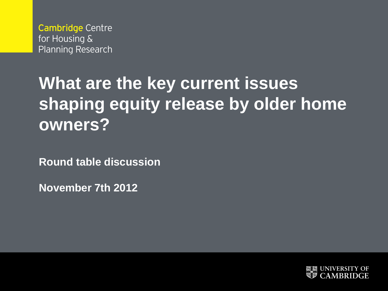**Cambridge Centre** for Housing & **Planning Research** 

# **What are the key current issues shaping equity release by older home owners?**

**Round table discussion**

**November 7th 2012**

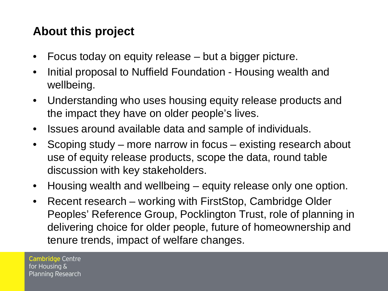# **About this project**

- Focus today on equity release but a bigger picture.
- Initial proposal to Nuffield Foundation Housing wealth and wellbeing.
- Understanding who uses housing equity release products and the impact they have on older people's lives.
- Issues around available data and sample of individuals.
- Scoping study more narrow in focus existing research about use of equity release products, scope the data, round table discussion with key stakeholders.
- Housing wealth and wellbeing equity release only one option.
- Recent research working with FirstStop, Cambridge Older Peoples' Reference Group, Pocklington Trust, role of planning in delivering choice for older people, future of homeownership and tenure trends, impact of welfare changes.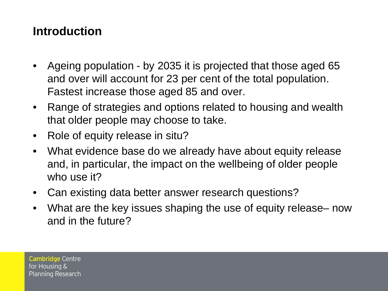#### **Introduction**

- Ageing population by 2035 it is projected that those aged 65 and over will account for 23 per cent of the total population. Fastest increase those aged 85 and over.
- Range of strategies and options related to housing and wealth that older people may choose to take.
- Role of equity release in situ?
- What evidence base do we already have about equity release and, in particular, the impact on the wellbeing of older people who use it?
- Can existing data better answer research questions?
- What are the key issues shaping the use of equity release– now and in the future?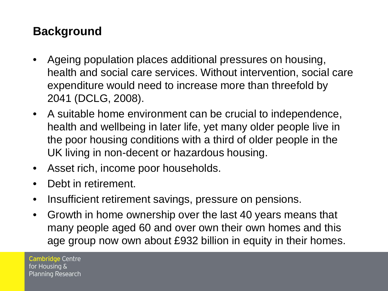## **Background**

- Ageing population places additional pressures on housing, health and social care services. Without intervention, social care expenditure would need to increase more than threefold by 2041 (DCLG, 2008).
- A suitable home environment can be crucial to independence, health and wellbeing in later life, yet many older people live in the poor housing conditions with a third of older people in the UK living in non-decent or hazardous housing.
- Asset rich, income poor households.
- Debt in retirement.
- Insufficient retirement savings, pressure on pensions.
- Growth in home ownership over the last 40 years means that many people aged 60 and over own their own homes and this age group now own about £932 billion in equity in their homes.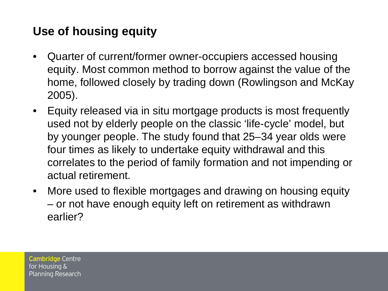## **Use of housing equity**

- Quarter of current/former owner-occupiers accessed housing equity. Most common method to borrow against the value of the home, followed closely by trading down (Rowlingson and McKay 2005).
- Equity released via in situ mortgage products is most frequently used not by elderly people on the classic 'life-cycle' model, but by younger people. The study found that 25–34 year olds were four times as likely to undertake equity withdrawal and this correlates to the period of family formation and not impending or actual retirement.
- More used to flexible mortgages and drawing on housing equity – or not have enough equity left on retirement as withdrawn earlier?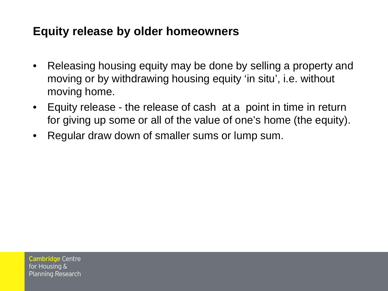#### **Equity release by older homeowners**

- Releasing housing equity may be done by selling a property and moving or by withdrawing housing equity 'in situ', i.e. without moving home.
- Equity release the release of cash at a point in time in return for giving up some or all of the value of one's home (the equity).
- Regular draw down of smaller sums or lump sum.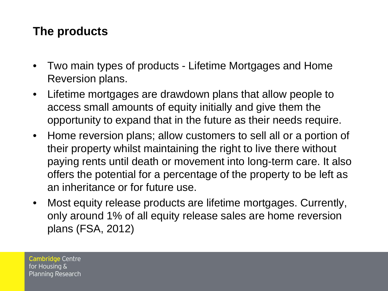## **The products**

- Two main types of products Lifetime Mortgages and Home Reversion plans.
- Lifetime mortgages are drawdown plans that allow people to access small amounts of equity initially and give them the opportunity to expand that in the future as their needs require.
- Home reversion plans; allow customers to sell all or a portion of their property whilst maintaining the right to live there without paying rents until death or movement into long-term care. It also offers the potential for a percentage of the property to be left as an inheritance or for future use.
- Most equity release products are lifetime mortgages. Currently, only around 1% of all equity release sales are home reversion plans (FSA, 2012)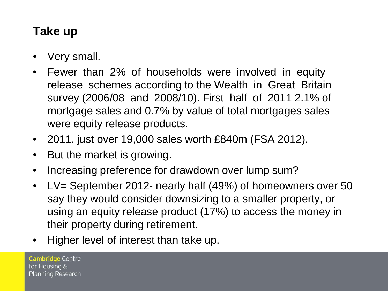# **Take up**

- Very small.
- Fewer than 2% of households were involved in equity release schemes according to the Wealth in Great Britain survey (2006/08 and 2008/10). First half of 2011 2.1% of mortgage sales and 0.7% by value of total mortgages sales were equity release products.
- 2011, just over 19,000 sales worth £840m (FSA 2012).
- But the market is growing.
- Increasing preference for drawdown over lump sum?
- LV= September 2012- nearly half (49%) of homeowners over 50 say they would consider downsizing to a smaller property, or using an equity release product (17%) to access the money in their property during retirement.
- Higher level of interest than take up.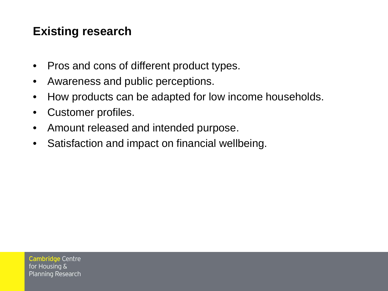## **Existing research**

- Pros and cons of different product types.
- Awareness and public perceptions.
- How products can be adapted for low income households.
- Customer profiles.
- Amount released and intended purpose.
- Satisfaction and impact on financial wellbeing.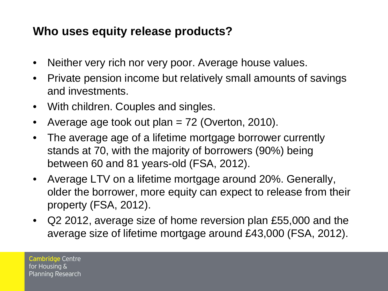#### **Who uses equity release products?**

- Neither very rich nor very poor. Average house values.
- Private pension income but relatively small amounts of savings and investments.
- With children. Couples and singles.
- Average age took out plan  $= 72$  (Overton, 2010).
- The average age of a lifetime mortgage borrower currently stands at 70, with the majority of borrowers (90%) being between 60 and 81 years-old (FSA, 2012).
- Average LTV on a lifetime mortgage around 20%. Generally, older the borrower, more equity can expect to release from their property (FSA, 2012).
- Q2 2012, average size of home reversion plan £55,000 and the average size of lifetime mortgage around £43,000 (FSA, 2012).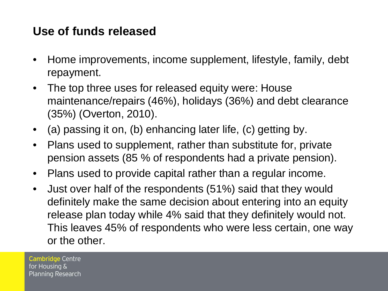#### **Use of funds released**

- Home improvements, income supplement, lifestyle, family, debt repayment.
- The top three uses for released equity were: House maintenance/repairs (46%), holidays (36%) and debt clearance (35%) (Overton, 2010).
- (a) passing it on, (b) enhancing later life, (c) getting by.
- Plans used to supplement, rather than substitute for, private pension assets (85 % of respondents had a private pension).
- Plans used to provide capital rather than a regular income.
- Just over half of the respondents (51%) said that they would definitely make the same decision about entering into an equity release plan today while 4% said that they definitely would not. This leaves 45% of respondents who were less certain, one way or the other.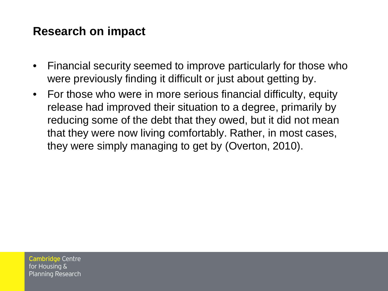#### **Research on impact**

- Financial security seemed to improve particularly for those who were previously finding it difficult or just about getting by.
- For those who were in more serious financial difficulty, equity release had improved their situation to a degree, primarily by reducing some of the debt that they owed, but it did not mean that they were now living comfortably. Rather, in most cases, they were simply managing to get by (Overton, 2010).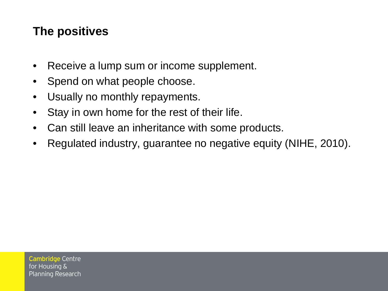#### **The positives**

- Receive a lump sum or income supplement.
- Spend on what people choose.
- Usually no monthly repayments.
- Stay in own home for the rest of their life.
- Can still leave an inheritance with some products.
- Regulated industry, guarantee no negative equity (NIHE, 2010).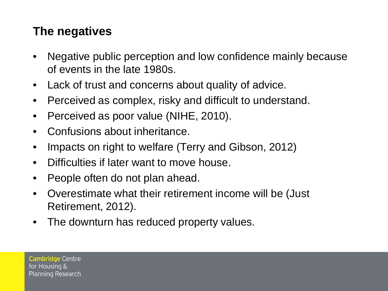## **The negatives**

- Negative public perception and low confidence mainly because of events in the late 1980s.
- Lack of trust and concerns about quality of advice.
- Perceived as complex, risky and difficult to understand.
- Perceived as poor value (NIHE, 2010).
- Confusions about inheritance.
- Impacts on right to welfare (Terry and Gibson, 2012)
- Difficulties if later want to move house.
- People often do not plan ahead.
- Overestimate what their retirement income will be (Just Retirement, 2012).
- The downturn has reduced property values.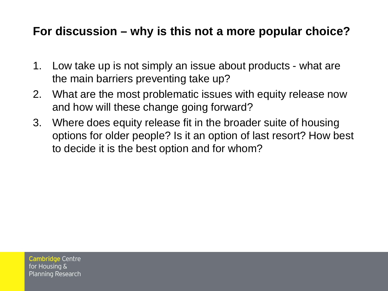#### **For discussion – why is this not a more popular choice?**

- 1. Low take up is not simply an issue about products what are the main barriers preventing take up?
- 2. What are the most problematic issues with equity release now and how will these change going forward?
- 3. Where does equity release fit in the broader suite of housing options for older people? Is it an option of last resort? How best to decide it is the best option and for whom?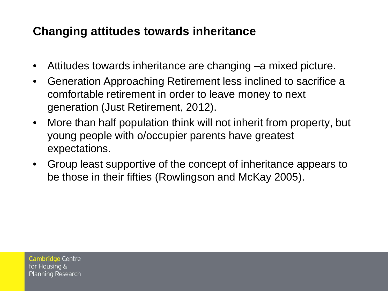## **Changing attitudes towards inheritance**

- Attitudes towards inheritance are changing –a mixed picture.
- Generation Approaching Retirement less inclined to sacrifice a comfortable retirement in order to leave money to next generation (Just Retirement, 2012).
- More than half population think will not inherit from property, but young people with o/occupier parents have greatest expectations.
- Group least supportive of the concept of inheritance appears to be those in their fifties (Rowlingson and McKay 2005).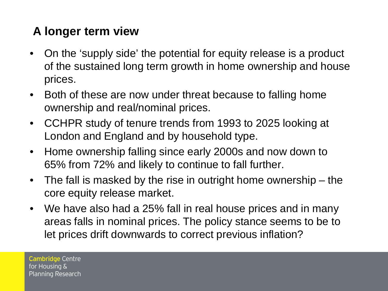# **A longer term view**

- On the 'supply side' the potential for equity release is a product of the sustained long term growth in home ownership and house prices.
- Both of these are now under threat because to falling home ownership and real/nominal prices.
- CCHPR study of tenure trends from 1993 to 2025 looking at London and England and by household type.
- Home ownership falling since early 2000s and now down to 65% from 72% and likely to continue to fall further.
- The fall is masked by the rise in outright home ownership the core equity release market.
- We have also had a 25% fall in real house prices and in many areas falls in nominal prices. The policy stance seems to be to let prices drift downwards to correct previous inflation?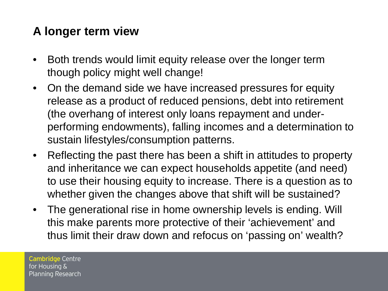## **A longer term view**

- Both trends would limit equity release over the longer term though policy might well change!
- On the demand side we have increased pressures for equity release as a product of reduced pensions, debt into retirement (the overhang of interest only loans repayment and underperforming endowments), falling incomes and a determination to sustain lifestyles/consumption patterns.
- Reflecting the past there has been a shift in attitudes to property and inheritance we can expect households appetite (and need) to use their housing equity to increase. There is a question as to whether given the changes above that shift will be sustained?
- The generational rise in home ownership levels is ending. Will this make parents more protective of their 'achievement' and thus limit their draw down and refocus on 'passing on' wealth?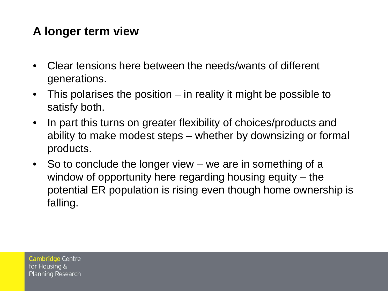## **A longer term view**

- Clear tensions here between the needs/wants of different generations.
- This polarises the position in reality it might be possible to satisfy both.
- In part this turns on greater flexibility of choices/products and ability to make modest steps – whether by downsizing or formal products.
- So to conclude the longer view we are in something of a window of opportunity here regarding housing equity – the potential ER population is rising even though home ownership is falling.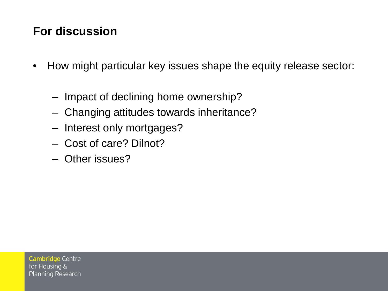## **For discussion**

- How might particular key issues shape the equity release sector:
	- Impact of declining home ownership?
	- Changing attitudes towards inheritance?
	- Interest only mortgages?
	- Cost of care? Dilnot?
	- Other issues?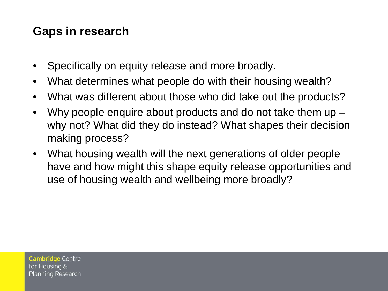## **Gaps in research**

- Specifically on equity release and more broadly.
- What determines what people do with their housing wealth?
- What was different about those who did take out the products?
- Why people enquire about products and do not take them up why not? What did they do instead? What shapes their decision making process?
- What housing wealth will the next generations of older people have and how might this shape equity release opportunities and use of housing wealth and wellbeing more broadly?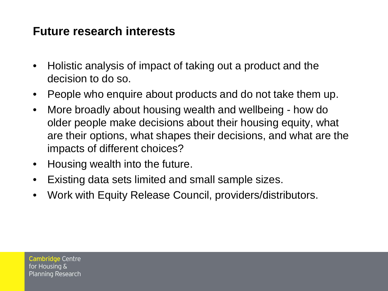#### **Future research interests**

- Holistic analysis of impact of taking out a product and the decision to do so.
- People who enquire about products and do not take them up.
- More broadly about housing wealth and wellbeing how do older people make decisions about their housing equity, what are their options, what shapes their decisions, and what are the impacts of different choices?
- Housing wealth into the future.
- Existing data sets limited and small sample sizes.
- Work with Equity Release Council, providers/distributors.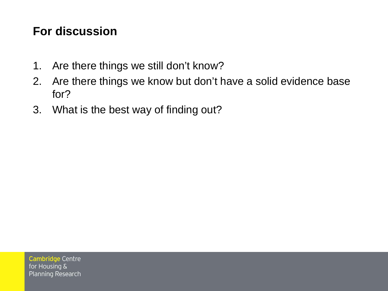#### **For discussion**

- 1. Are there things we still don't know?
- 2. Are there things we know but don't have a solid evidence base for?
- 3. What is the best way of finding out?